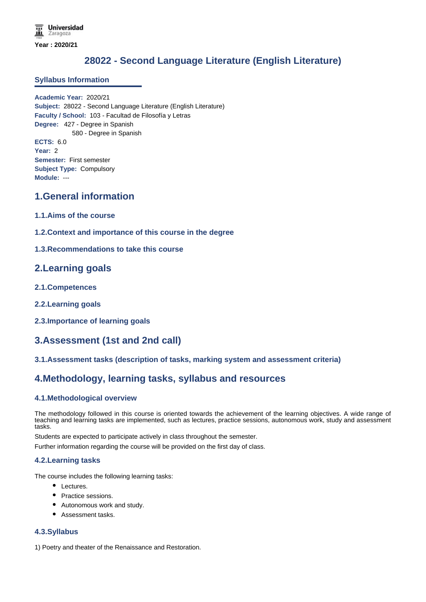# **28022 - Second Language Literature (English Literature)**

### **Syllabus Information**

**Academic Year:** 2020/21 **Subject:** 28022 - Second Language Literature (English Literature) **Faculty / School:** 103 - Facultad de Filosofía y Letras **Degree:** 427 - Degree in Spanish 580 - Degree in Spanish **ECTS:** 6.0 **Year:** 2 **Semester:** First semester **Subject Type:** Compulsory **Module:** ---

### **1.General information**

- **1.1.Aims of the course**
- **1.2.Context and importance of this course in the degree**

### **1.3.Recommendations to take this course**

### **2.Learning goals**

- **2.1.Competences**
- **2.2.Learning goals**
- **2.3.Importance of learning goals**

## **3.Assessment (1st and 2nd call)**

### **3.1.Assessment tasks (description of tasks, marking system and assessment criteria)**

## **4.Methodology, learning tasks, syllabus and resources**

### **4.1.Methodological overview**

The methodology followed in this course is oriented towards the achievement of the learning objectives. A wide range of teaching and learning tasks are implemented, such as lectures, practice sessions, autonomous work, study and assessment tasks.

Students are expected to participate actively in class throughout the semester.

Further information regarding the course will be provided on the first day of class.

### **4.2.Learning tasks**

The course includes the following learning tasks:

- Lectures.
- Practice sessions.
- Autonomous work and study.
- Assessment tasks.

### **4.3.Syllabus**

1) Poetry and theater of the Renaissance and Restoration.